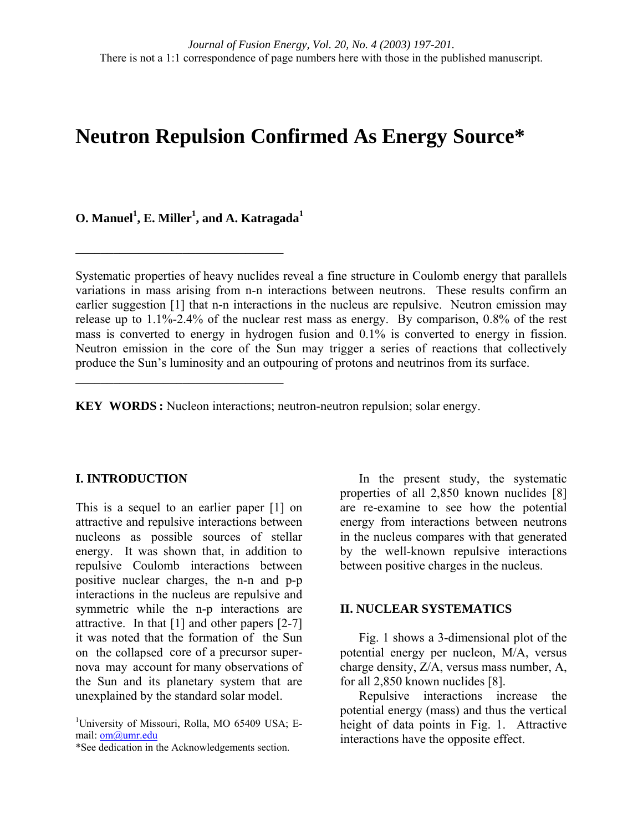# **Neutron Repulsion Confirmed As Energy Source\***

 $\mathbf{O}.$  Manuel $^1$ , E. Miller $^1$ , and A. Katragada $^1$ 

 $\mathcal{L}_\text{max}$  , where  $\mathcal{L}_\text{max}$  and  $\mathcal{L}_\text{max}$  and  $\mathcal{L}_\text{max}$ 

 $\mathcal{L}_\text{max}$  , where  $\mathcal{L}_\text{max}$  and  $\mathcal{L}_\text{max}$  and  $\mathcal{L}_\text{max}$ 

Systematic properties of heavy nuclides reveal a fine structure in Coulomb energy that parallels variations in mass arising from n-n interactions between neutrons. These results confirm an earlier suggestion [1] that n-n interactions in the nucleus are repulsive. Neutron emission may release up to 1.1%-2.4% of the nuclear rest mass as energy. By comparison, 0.8% of the rest mass is converted to energy in hydrogen fusion and 0.1% is converted to energy in fission. Neutron emission in the core of the Sun may trigger a series of reactions that collectively produce the Sun's luminosity and an outpouring of protons and neutrinos from its surface.

**KEY WORDS :** Nucleon interactions; neutron-neutron repulsion; solar energy.

## **I. INTRODUCTION**

This is a sequel to an earlier paper [1] on attractive and repulsive interactions between nucleons as possible sources of stellar energy. It was shown that, in addition to repulsive Coulomb interactions between positive nuclear charges, the n-n and p-p interactions in the nucleus are repulsive and symmetric while the n-p interactions are attractive. In that [1] and other papers [2-7] it was noted that the formation of the Sun on the collapsed core of a precursor supernova may account for many observations of the Sun and its planetary system that are unexplained by the standard solar model.

\*See dedication in the Acknowledgements section.

In the present study, the systematic properties of all 2,850 known nuclides [8] are re-examine to see how the potential energy from interactions between neutrons in the nucleus compares with that generated by the well-known repulsive interactions between positive charges in the nucleus.

## **II. NUCLEAR SYSTEMATICS**

Fig. 1 shows a 3-dimensional plot of the potential energy per nucleon, M/A, versus charge density, Z/A, versus mass number, A, for all 2,850 known nuclides [8].

Repulsive interactions increase the potential energy (mass) and thus the vertical height of data points in Fig. 1. Attractive interactions have the opposite effect.

<sup>&</sup>lt;sup>1</sup>University of Missouri, Rolla, MO 65409 USA; Email: [om@umr.edu](mailto:om@umr.edu)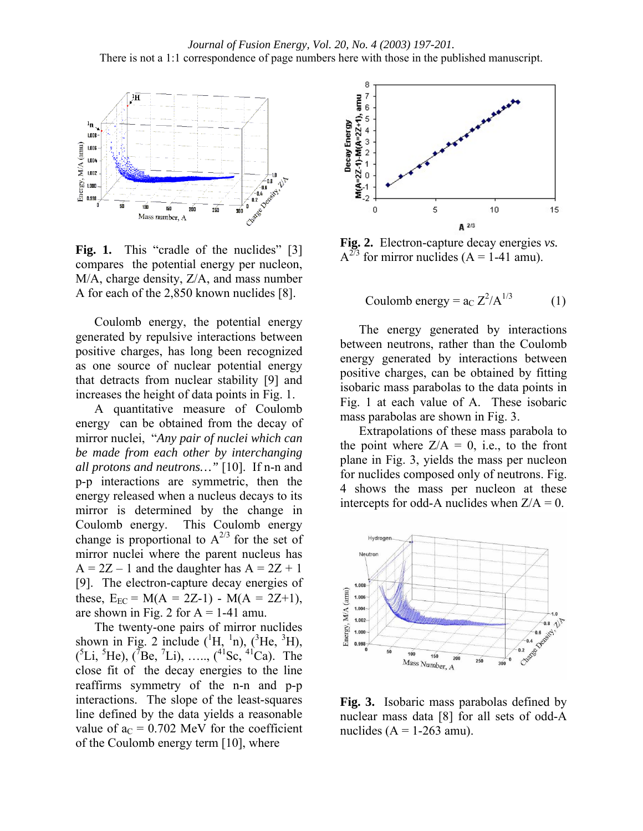

Fig. 1. This "cradle of the nuclides" [3] compares the potential energy per nucleon, M/A, charge density, Z/A, and mass number A for each of the 2,850 known nuclides [8].

Coulomb energy, the potential energy generated by repulsive interactions between positive charges, has long been recognized as one source of nuclear potential energy that detracts from nuclear stability [9] and increases the height of data points in Fig. 1.

A quantitative measure of Coulomb energy can be obtained from the decay of mirror nuclei, "*Any pair of nuclei which can be made from each other by interchanging all protons and neutrons…"* [10]. If n-n and p-p interactions are symmetric, then the energy released when a nucleus decays to its mirror is determined by the change in Coulomb energy. This Coulomb energy change is proportional to  $A^{2/3}$  for the set of mirror nuclei where the parent nucleus has  $A = 2Z - 1$  and the daughter has  $A = 2Z + 1$ [9]. The electron-capture decay energies of these,  $E_{EC} = M(A = 2Z-1) - M(A = 2Z+1)$ , are shown in Fig. 2 for  $A = 1-41$  amu.

The twenty-one pairs of mirror nuclides shown in Fig. 2 include  $(^1H, {}^{1}n)$ ,  $(^3He, {}^{3}H)$ ,  $({}^{5}Li, {}^{5}He), ({}^{7}Be, {}^{7}Li), \ldots, ({}^{41}Sc, {}^{41}Ca).$  The close fit of the decay energies to the line reaffirms symmetry of the n-n and p-p interactions. The slope of the least-squares line defined by the data yields a reasonable value of  $a_C = 0.702$  MeV for the coefficient of the Coulomb energy term [10], where



**Fig. 2.** Electron-capture decay energies *vs.*   $A^{2/3}$  for mirror nuclides (A = 1-41 amu).

Coulomb energy =  $a_C Z^2/A^{1/3}$  (1)

The energy generated by interactions between neutrons, rather than the Coulomb energy generated by interactions between positive charges, can be obtained by fitting isobaric mass parabolas to the data points in Fig. 1 at each value of A. These isobaric mass parabolas are shown in Fig. 3.

Extrapolations of these mass parabola to the point where  $Z/A = 0$ , i.e., to the front plane in Fig. 3, yields the mass per nucleon for nuclides composed only of neutrons. Fig. 4 shows the mass per nucleon at these intercepts for odd-A nuclides when  $Z/A = 0$ .



**Fig. 3.** Isobaric mass parabolas defined by nuclear mass data [8] for all sets of odd-A nuclides  $(A = 1-263$  amu).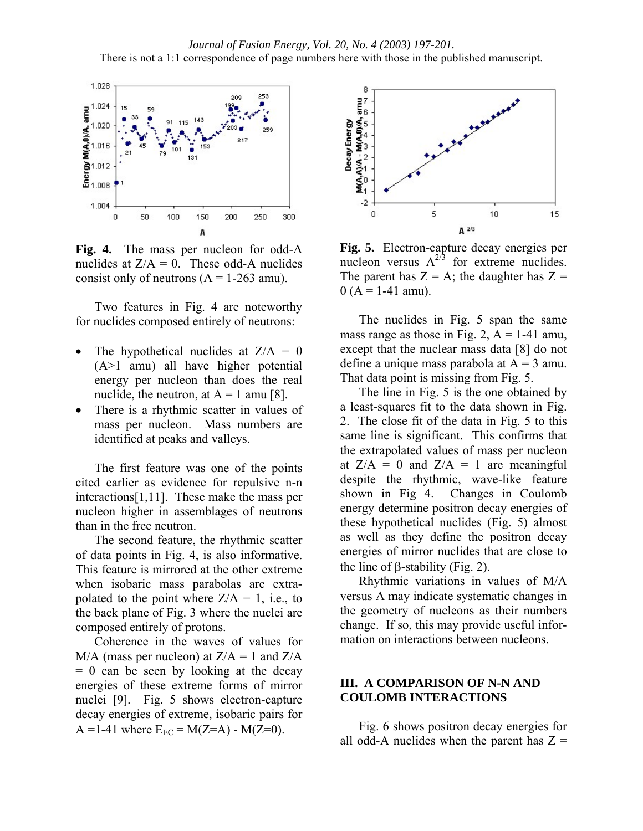

**Fig. 4.** The mass per nucleon for odd-A nuclides at  $Z/A = 0$ . These odd-A nuclides consist only of neutrons  $(A = 1-263$  amu).

Two features in Fig. 4 are noteworthy for nuclides composed entirely of neutrons:

- The hypothetical nuclides at  $Z/A = 0$ (A>1 amu) all have higher potential energy per nucleon than does the real nuclide, the neutron, at  $A = 1$  amu [8].
- There is a rhythmic scatter in values of mass per nucleon. Mass numbers are identified at peaks and valleys.

The first feature was one of the points cited earlier as evidence for repulsive n-n interactions[1,11]. These make the mass per nucleon higher in assemblages of neutrons than in the free neutron.

The second feature, the rhythmic scatter of data points in Fig. 4, is also informative. This feature is mirrored at the other extreme when isobaric mass parabolas are extrapolated to the point where  $Z/A = 1$ , i.e., to the back plane of Fig. 3 where the nuclei are composed entirely of protons.

Coherence in the waves of values for  $M/A$  (mass per nucleon) at  $Z/A = 1$  and  $Z/A$  $= 0$  can be seen by looking at the decay energies of these extreme forms of mirror nuclei [9]. Fig. 5 shows electron-capture decay energies of extreme, isobaric pairs for A =1-41 where  $E_{FC} = M(Z=A) - M(Z=0)$ .



**Fig. 5.** Electron-capture decay energies per nucleon versus  $A^{2/3}$  for extreme nuclides. The parent has  $Z = A$ ; the daughter has  $Z =$  $0(A = 1-41$  amu).

The nuclides in Fig. 5 span the same mass range as those in Fig. 2,  $A = 1-41$  amu, except that the nuclear mass data [8] do not define a unique mass parabola at  $A = 3$  amu. That data point is missing from Fig. 5.

The line in Fig. 5 is the one obtained by a least-squares fit to the data shown in Fig. 2. The close fit of the data in Fig. 5 to this same line is significant. This confirms that the extrapolated values of mass per nucleon at  $Z/A = 0$  and  $Z/A = 1$  are meaningful despite the rhythmic, wave-like feature shown in Fig 4. Changes in Coulomb energy determine positron decay energies of these hypothetical nuclides (Fig. 5) almost as well as they define the positron decay energies of mirror nuclides that are close to the line of β-stability (Fig. 2).

Rhythmic variations in values of M/A versus A may indicate systematic changes in the geometry of nucleons as their numbers change. If so, this may provide useful information on interactions between nucleons.

## **III. A COMPARISON OF N-N AND COULOMB INTERACTIONS**

Fig. 6 shows positron decay energies for all odd-A nuclides when the parent has  $Z =$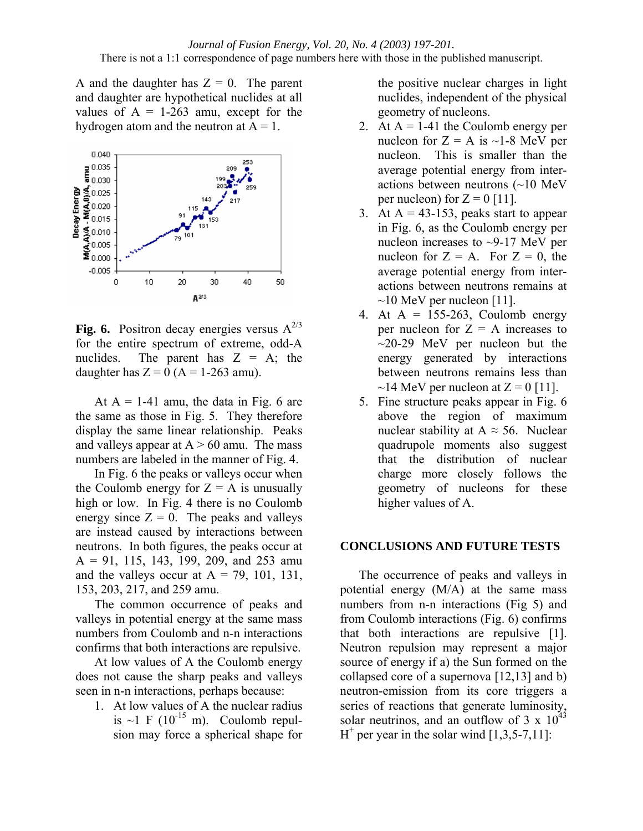A and the daughter has  $Z = 0$ . The parent and daughter are hypothetical nuclides at all values of  $A = 1-263$  amu, except for the hydrogen atom and the neutron at  $A = 1$ .



**Fig. 6.** Positron decay energies versus  $A^{2/3}$ for the entire spectrum of extreme, odd-A nuclides. The parent has  $Z = A$ ; the daughter has  $Z = 0$  (A = 1-263 amu).

At  $A = 1-41$  amu, the data in Fig. 6 are the same as those in Fig. 5. They therefore display the same linear relationship. Peaks and valleys appear at  $A > 60$  amu. The mass numbers are labeled in the manner of Fig. 4.

In Fig. 6 the peaks or valleys occur when the Coulomb energy for  $Z = A$  is unusually high or low. In Fig. 4 there is no Coulomb energy since  $Z = 0$ . The peaks and valleys are instead caused by interactions between neutrons. In both figures, the peaks occur at  $A = 91, 115, 143, 199, 209, and 253$  amu and the valleys occur at  $A = 79, 101, 131,$ 153, 203, 217, and 259 amu.

The common occurrence of peaks and valleys in potential energy at the same mass numbers from Coulomb and n-n interactions confirms that both interactions are repulsive.

At low values of A the Coulomb energy does not cause the sharp peaks and valleys seen in n-n interactions, perhaps because:

1. At low values of A the nuclear radius is  $\sim$ 1 F (10<sup>-15</sup> m). Coulomb repulsion may force a spherical shape for

the positive nuclear charges in light nuclides, independent of the physical geometry of nucleons.

- 2. At  $A = 1-41$  the Coulomb energy per nucleon for  $Z = A$  is ~1-8 MeV per nucleon. This is smaller than the average potential energy from interactions between neutrons (~10 MeV per nucleon) for  $Z = 0$  [11].
- 3. At  $A = 43-153$ , peaks start to appear in Fig. 6, as the Coulomb energy per nucleon increases to ~9-17 MeV per nucleon for  $Z = A$ . For  $Z = 0$ , the average potential energy from interactions between neutrons remains at  $\sim$ 10 MeV per nucleon [11].
- 4. At  $A = 155-263$ , Coulomb energy per nucleon for  $Z = A$  increases to  $\sim$ 20-29 MeV per nucleon but the energy generated by interactions between neutrons remains less than  $\sim$ 14 MeV per nucleon at Z = 0 [11].
- 5. Fine structure peaks appear in Fig. 6 above the region of maximum nuclear stability at  $A \approx 56$ . Nuclear quadrupole moments also suggest that the distribution of nuclear charge more closely follows the geometry of nucleons for these higher values of A.

## **CONCLUSIONS AND FUTURE TESTS**

The occurrence of peaks and valleys in potential energy (M/A) at the same mass numbers from n-n interactions (Fig 5) and from Coulomb interactions (Fig. 6) confirms that both interactions are repulsive [1]. Neutron repulsion may represent a major source of energy if a) the Sun formed on the collapsed core of a supernova [12,13] and b) neutron-emission from its core triggers a series of reactions that generate luminosity, solar neutrinos, and an outflow of 3 x  $10^{43}$  $H^+$  per year in the solar wind  $[1,3,5-7,11]$ :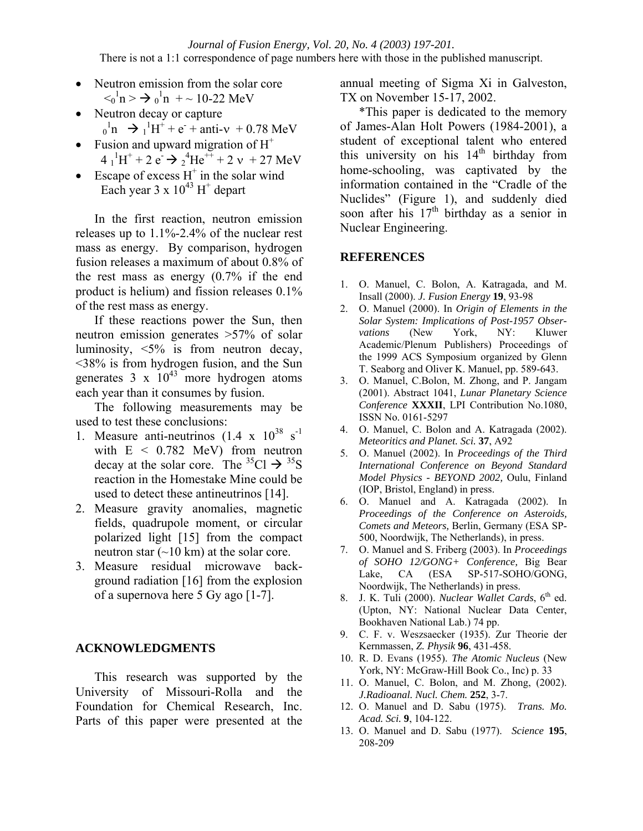*Journal of Fusion Energy, Vol. 20, No. 4 (2003) 197-201.*  There is not a 1:1 correspondence of page numbers here with those in the published manuscript.

- Neutron emission from the solar core  $\langle 0 \rangle^1$ n >  $\rightarrow 0 \rangle^1$ n + ~ 10-22 MeV
- Neutron decay or capture  $_0^1$ n  $\rightarrow$   $_1^1$ H<sup>+</sup> + e<sup>-</sup> + anti-v + 0.78 MeV
- Fusion and upward migration of  $H^+$  $4^{1}_{1}H^{+}+2 e^{-}$   $\rightarrow 2^{4}He^{++}+2 v +27 MeV$
- Escape of excess  $H^+$  in the solar wind Each year  $3 \times 10^{43}$  H<sup>+</sup> depart

In the first reaction, neutron emission releases up to 1.1%-2.4% of the nuclear rest mass as energy. By comparison, hydrogen fusion releases a maximum of about 0.8% of the rest mass as energy (0.7% if the end product is helium) and fission releases 0.1% of the rest mass as energy.

If these reactions power the Sun, then neutron emission generates >57% of solar luminosity, <5% is from neutron decay, <38% is from hydrogen fusion, and the Sun generates  $3 \times 10^{43}$  more hydrogen atoms each year than it consumes by fusion.

The following measurements may be used to test these conclusions:

- 1. Measure anti-neutrinos  $(1.4 \times 10^{38} \text{ s}^{-1})$ with  $E < 0.782$  MeV) from neutron decay at the solar core. The <sup>35</sup>Cl  $\rightarrow$  <sup>35</sup>S reaction in the Homestake Mine could be used to detect these antineutrinos [14].
- 2. Measure gravity anomalies, magnetic fields, quadrupole moment, or circular polarized light [15] from the compact neutron star  $(\sim 10 \text{ km})$  at the solar core.
- 3. Measure residual microwave background radiation [16] from the explosion of a supernova here 5 Gy ago [1-7].

## **ACKNOWLEDGMENTS**

This research was supported by the University of Missouri-Rolla and the Foundation for Chemical Research, Inc. Parts of this paper were presented at the

annual meeting of Sigma Xi in Galveston, TX on November 15-17, 2002.

\*This paper is dedicated to the memory of James-Alan Holt Powers (1984-2001), a student of exceptional talent who entered this university on his  $14<sup>th</sup>$  birthday from home-schooling, was captivated by the information contained in the "Cradle of the Nuclides" (Figure 1), and suddenly died soon after his  $17<sup>th</sup>$  birthday as a senior in Nuclear Engineering.

## **REFERENCES**

- 1. O. Manuel, C. Bolon, A. Katragada, and M. Insall (2000). *J. Fusion Energy* **19**, 93-98
- 2. O. Manuel (2000). In *Origin of Elements in the Solar System: Implications of Post-1957 Observations* (New York, NY: Kluwer Academic/Plenum Publishers) Proceedings of the 1999 ACS Symposium organized by Glenn T. Seaborg and Oliver K. Manuel, pp. 589-643.
- 3. O. Manuel, C.Bolon, M. Zhong, and P. Jangam (2001). Abstract 1041, *Lunar Planetary Science Conference* **XXXII**, LPI Contribution No.1080, ISSN No. 0161-5297
- 4. O. Manuel, C. Bolon and A. Katragada (2002). *Meteoritics and Planet. Sci.* **37**, A92
- 5. O. Manuel (2002). In *Proceedings of the Third International Conference on Beyond Standard Model Physics - BEYOND 2002,* Oulu, Finland (IOP, Bristol, England) in press.
- 6. O. Manuel and A. Katragada (2002). In *Proceedings of the Conference on Asteroids, Comets and Meteors,* Berlin, Germany (ESA SP-500, Noordwijk, The Netherlands), in press.
- 7. O. Manuel and S. Friberg (2003). In *Proceedings of SOHO 12/GONG+ Conference,* Big Bear Lake, CA (ESA SP-517-SOHO/GONG, Noordwijk, The Netherlands) in press.
- 8. J. K. Tuli (2000). *Nuclear Wallet Cards*, 6<sup>th</sup> ed. (Upton, NY: National Nuclear Data Center, Bookhaven National Lab.) 74 pp.
- 9. C. F. v. Weszsaecker (1935). Zur Theorie der Kernmassen, *Z. Physik* **96**, 431-458.
- 10. R. D. Evans (1955). *The Atomic Nucleus* (New York, NY: McGraw-Hill Book Co., Inc) p. 33
- 11. O. Manuel, C. Bolon, and M. Zhong, (2002). *J.Radioanal. Nucl. Chem.* **252**, 3-7.
- 12. O. Manuel and D. Sabu (1975). *Trans. Mo. Acad. Sci.* **9**, 104-122.
- 13. O. Manuel and D. Sabu (1977). *Science* **195**, 208-209